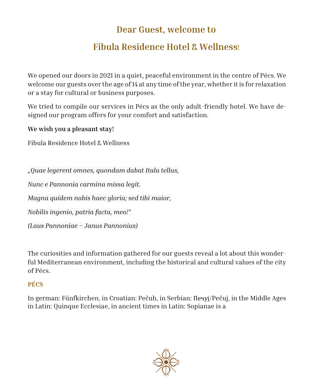# **Dear Guest, welcome to**

# **Fibula Residence Hotel & Wellness!**

We opened our doors in 2021 in a quiet, peaceful environment in the centre of Pécs. We welcome our guests over the age of 14 at any time of the year, whether it is for relaxation or a stay for cultural or business purposes.

We tried to compile our services in Pécs as the only adult-friendly hotel. We have designed our program offers for your comfort and satisfaction.

**We wish you a pleasant stay!**

Fibula Residence Hotel & Wellness

*"Quae legerent omnes, quondam dabat Itala tellus,*

*Nunc e Pannonia carmina missa legit.*

*Magna quidem nobis haec gloria; sed tibi maior,*

*Nobilis ingenio, patria facta, meo!"* 

*(Laus Pannoniae – Janus Pannonius)*

The curiosities and information gathered for our guests reveal a lot about this wonderful Mediterranean environment, including the historical and cultural values of the city of Pécs.

# **PÉCS**

In german: Fünfkirchen, in Croatian: Pečuh, in Serbian: Печуј/Pečuj, in the Middle Ages in Latin: Quinque Ecclesiae, in ancient times in Latin: Sopianae is a

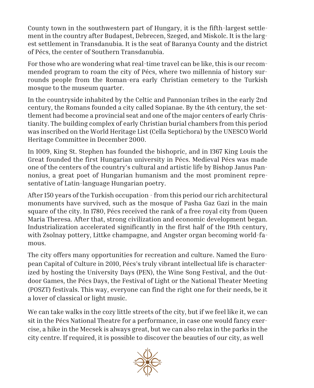County town in the southwestern part of Hungary, it is the fifth-largest settlement in the country after Budapest, Debrecen, Szeged, and Miskolc. It is the largest settlement in Transdanubia. It is the seat of Baranya County and the district of Pécs, the center of Southern Transdanubia.

For those who are wondering what real-time travel can be like, this is our recommended program to roam the city of Pécs, where two millennia of history surrounds people from the Roman-era early Christian cemetery to the Turkish mosque to the museum quarter.

In the countryside inhabited by the Celtic and Pannonian tribes in the early 2nd century, the Romans founded a city called Sopianae. By the 4th century, the settlement had become a provincial seat and one of the major centers of early Christianity. The building complex of early Christian burial chambers from this period was inscribed on the World Heritage List (Cella Septichora) by the UNESCO World Heritage Committee in December 2000.

In 1009, King St. Stephen has founded the bishopric, and in 1367 King Louis the Great founded the first Hungarian university in Pécs. Medieval Pécs was made one of the centers of the country's cultural and artistic life by Bishop Janus Pannonius, a great poet of Hungarian humanism and the most prominent representative of Latin-language Hungarian poetry.

After 150 years of the Turkish occupation - from this period our rich architectural monuments have survived, such as the mosque of Pasha Gaz Gazi in the main square of the city. In 1780, Pécs received the rank of a free royal city from Queen Maria Theresa. After that, strong civilization and economic development began. Industrialization accelerated significantly in the first half of the 19th century, with Zsolnay pottery, Littke champagne, and Angster organ becoming world-famous.

The city offers many opportunities for recreation and culture. Named the European Capital of Culture in 2010, Pécs's truly vibrant intellectual life is characterized by hosting the University Days (PEN), the Wine Song Festival, and the Outdoor Games, the Pécs Days, the Festival of Light or the National Theater Meeting (POSZT) festivals. This way, everyone can find the right one for their needs, be it a lover of classical or light music.

We can take walks in the cozy little streets of the city, but if we feel like it, we can sit in the Pécs National Theatre for a performance, in case one would fancy exercise, a hike in the Mecsek is always great, but we can also relax in the parks in the city centre. If required, it is possible to discover the beauties of our city, as well

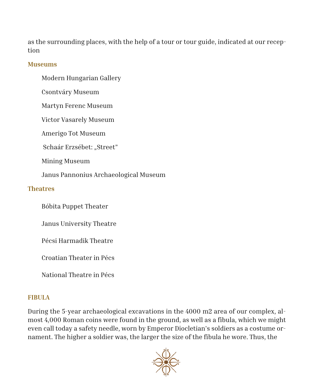as the surrounding places, with the help of a tour or tour guide, indicated at our reception

#### **Museums**

Modern [Hungarian](https://hu.wikipedia.org/wiki/Modern_Magyar_K%C3%A9pt%C3%A1r) Gallery

[Csontváry Museum](https://hu.wikipedia.org/wiki/Csontv%C3%A1ry_M%C3%BAzeum)

[Martyn Ferenc Museum](https://hu.wikipedia.org/wiki/Martyn_Ferenc_M%C3%BAzeum)

[Victor Vasarely Museum](https://hu.wikipedia.org/wiki/Victor_Vasarely_M%C3%BAzeum_(P%C3%A9cs))

[Amerigo Tot Museum](https://hu.wikipedia.org/wiki/Amerigo_Tot_M%C3%BAzeum)

[Schaár Erzsébet: "Street"](https://hu.wikipedia.org/wiki/Scha%C3%A1r_Erzs%C3%A9bet:_%E2%80%9EUtca%E2%80%9D)

Mining Museum

Janus Pannonius Archaeological Museum

#### **Theatres**

[Bóbita Puppet Theater](https://hu.wikipedia.org/wiki/B%C3%B3bita_B%C3%A1bsz%C3%ADnh%C3%A1z) 

[Janus University](https://hu.wikipedia.org/wiki/Janus_Egyetemi_Sz%C3%ADnh%C3%A1z) Theatre

[Pécsi Harmadik Theatre](https://hu.wikipedia.org/wiki/P%C3%A9csi_Harmadik_Sz%C3%ADnh%C3%A1z)

Croatian Theater in Pécs

[National](https://hu.wikipedia.org/wiki/P%C3%A9csi_Nemzeti_Sz%C3%ADnh%C3%A1z) Theatre in Pécs

#### **FIBULA**

During the 5-year archaeological excavations in the 4000 m2 area of our complex, almost 4,000 Roman coins were found in the ground, as well as a fibula, which we might even call today a safety needle, worn by Emperor Diocletian's soldiers as a costume ornament. The higher a soldier was, the larger the size of the fibula he wore. Thus, the

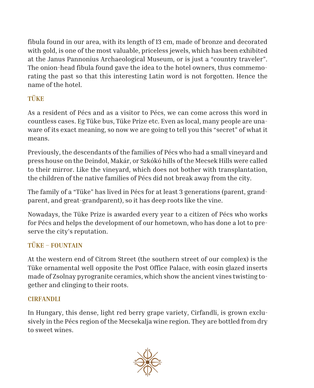fibula found in our area, with its length of 13 cm, made of bronze and decorated with gold, is one of the most valuable, priceless jewels, which has been exhibited at the Janus Pannonius Archaeological Museum, or is just a "country traveler". The onion-head fibula found gave the idea to the hotel owners, thus commemorating the past so that this interesting Latin word is not forgotten. Hence the name of the hotel.

# **TÜKE**

As a resident of Pécs and as a visitor to Pécs, we can come across this word in countless cases. Eg Tüke bus, Tüke Prize etc. Even as local, many people are unaware of its exact meaning, so now we are going to tell you this "secret" of what it means.

Previously, the descendants of the families of Pécs who had a small vineyard and press house on the Deindol, Makár, or Szkókó hills of the Mecsek Hills were called to their mirror. Like the vineyard, which does not bother with transplantation, the children of the native families of Pécs did not break away from the city.

The family of a "Tüke" has lived in Pécs for at least 3 generations (parent, grandparent, and great-grandparent), so it has deep roots like the vine.

Nowadays, the Tüke Prize is awarded every year to a citizen of Pécs who works for Pécs and helps the development of our hometown, who has done a lot to preserve the city's reputation.

# **TÜKE – FOUNTAIN**

At the western end of Citrom Street (the southern street of our complex) is the Tüke ornamental well opposite the Post Office Palace, with eosin glazed inserts made of Zsolnay pyrogranite ceramics, which show the ancient vines twisting together and clinging to their roots.

#### **CIRFANDLI**

In Hungary, this dense, light red berry grape variety, Cirfandli, is grown exclusively in the Pécs region of the Mecsekalja wine region. They are bottled from dry to sweet wines.

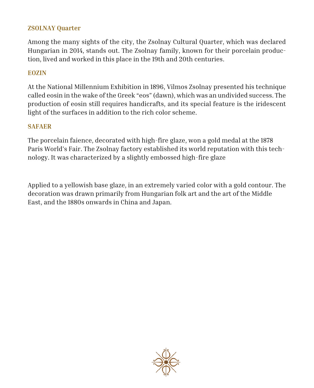#### **ZSOLNAY Quarter**

Among the many sights of the city, the Zsolnay Cultural Quarter, which was declared Hungarian in 2014, stands out. The Zsolnay family, known for their porcelain production, lived and worked in this place in the 19th and 20th centuries.

#### **EOZIN**

At the National Millennium Exhibition in 1896, Vilmos Zsolnay presented his technique called eosin in the wake of the Greek "eos" (dawn), which was an undivided success. The production of eosin still requires handicrafts, and its special feature is the iridescent light of the surfaces in addition to the rich color scheme.

#### **SAFAER**

The porcelain faience, decorated with high-fire glaze, won a gold medal at the 1878 Paris World's Fair. The Zsolnay factory established its world reputation with this technology. It was characterized by a slightly embossed high-fire glaze

Applied to a yellowish base glaze, in an extremely varied color with a gold contour. The decoration was drawn primarily from Hungarian folk art and the art of the Middle East, and the 1880s onwards in China and Japan.

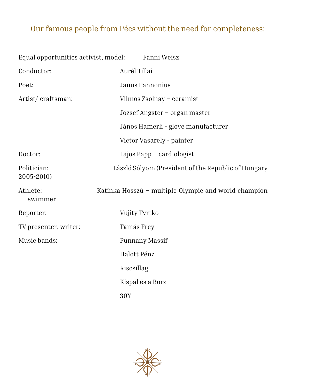# Our famous people from Pécs without the need for completeness:

| Equal opportunities activist, model: | Fanni Weisz                                          |
|--------------------------------------|------------------------------------------------------|
| Conductor:                           | Aurél Tillai                                         |
| Poet:                                | Janus Pannonius                                      |
| Artist/craftsman:                    | Vilmos Zsolnay - ceramist                            |
|                                      | József Angster – organ master                        |
|                                      | János Hamerli - glove manufacturer                   |
|                                      | Victor Vasarely - painter                            |
| Doctor:                              | Lajos Papp $-$ cardiologist                          |
| Politician:<br>2005-2010)            | László Sólyom (President of the Republic of Hungary  |
| Athlete:<br>swimmer                  | Katinka Hosszú - multiple Olympic and world champion |
| Reporter:                            | Vujity Tvrtko                                        |
| TV presenter, writer:                | Tamás Frey                                           |
| Music bands:                         | Punnany Massif                                       |
|                                      | Halott Pénz                                          |
|                                      | Kiscsillag                                           |
|                                      | Kispál és a Borz                                     |
|                                      | 30Y                                                  |

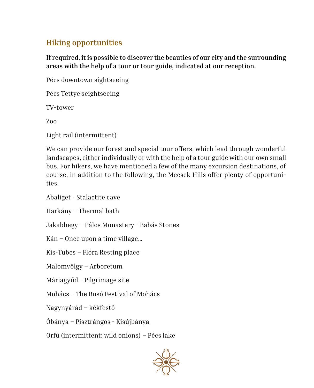# **Hiking opportunities**

**If required, it is possible to discover the beauties of our city and the surrounding areas with the help of a tour or tour guide, indicated at our reception.**

Pécs downtown sightseeing

Pécs Tettye seightseeing

TV-tower

Zoo

Light rail (intermittent)

We can provide our forest and special tour offers, which lead through wonderful landscapes, either individually or with the help of a tour guide with our own small bus. For hikers, we have mentioned a few of the many excursion destinations, of course, in addition to the following, the Mecsek Hills offer plenty of opportunities.

Abaliget - Stalactite cave

Harkány – Thermal bath

Jakabhegy – Pálos Monastery - Babás Stones

Kán – Once upon a time village…

Kis-Tubes – Flóra Resting place

Malomvölgy – Arboretum

Máriagyűd - Pilgrimage site

Mohács – The Busó Festival of Mohács

Nagynyárád – kékfestő

Óbánya – Pisztrángos - Kisújbánya

Orfű (intermittent: wild onions) – Pécs lake

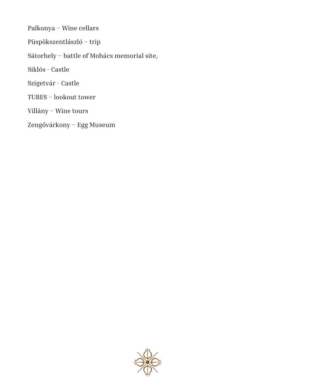Palkonya – Wine cellars Püspökszentlászló – trip Sátorhely – battle of Mohács memorial site, Siklós - Castle Szigetvár - Castle TUBES – lookout tower Villány – Wine tours Zengővárkony – Egg Museum

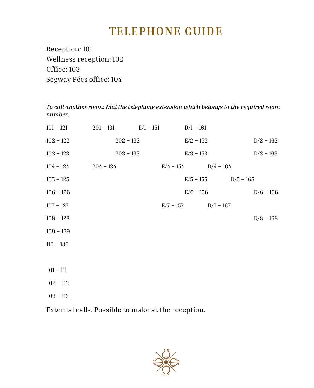# **TELEPHONE GUIDE**

Reception: 101 Wellness reception: 102 Office: 103 Segway Pécs office: 104

*To call another room: Dial the telephone extension which belongs to the required room number.*

| $101 - 121$ | $201 - 131$ $E/1 - 151$ |             |  | $D/1 - 161$ |                         |             |             |
|-------------|-------------------------|-------------|--|-------------|-------------------------|-------------|-------------|
| $102 - 122$ |                         | $202 - 132$ |  | $E/2 - 152$ |                         |             | $D/2 - 162$ |
| $103 - 123$ |                         | $203 - 133$ |  | $E/3 - 153$ |                         |             | $D/3 - 163$ |
| $104 - 124$ | $204 - 134$             |             |  |             | $E/4 - 154$ $D/4 - 164$ |             |             |
| $105 - 125$ |                         |             |  |             | $E/5 - 155$             | $D/5 - 165$ |             |
| $106 - 126$ |                         |             |  | $E/6 - 156$ |                         |             | $D/6 - 166$ |
| $107 - 127$ |                         |             |  |             | $E/7 - 157$ D/7 - 167   |             |             |
| $108 - 128$ |                         |             |  |             |                         |             | $D/8 - 168$ |
| $109 - 129$ |                         |             |  |             |                         |             |             |
| $110 - 130$ |                         |             |  |             |                         |             |             |
|             |                         |             |  |             |                         |             |             |
| $01 - 111$  |                         |             |  |             |                         |             |             |
| $02 - 112$  |                         |             |  |             |                         |             |             |
| $03 - 113$  |                         |             |  |             |                         |             |             |

External calls: Possible to make at the reception.

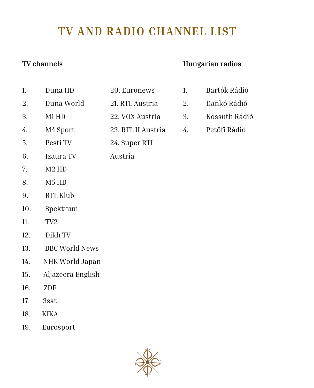# **TV AND RADIO CHANNEL LIST**

# **TV channels**

# **Hungarian radios**

- 1. Duna HD
- 2. Duna World
- 3. M1 HD
- 4. M4 Sport
- 5. Pesti TV
- 6. Izaura TV
- 7. M2 HD
- 8. M5 HD
- 9. RTL Klub
- 10. Spektrum
- 11. TV2
- 12. Dikh TV
- 13. BBC World News
- 14. NHK World Japan
- 15. Aljazeera English
- 16. ZDF
- 17. 3sat
- 18. KIKA
- 19. Eurosport



20. Euronews

- 22. VOX Austria
- 23. RTL II Austria
- 24. Super RTL
	- Austria
- 1. Bartók Rádió
- 2. Dankó Rádió
- 3. Kossuth Rádió
- 4. Petőfi Rádió

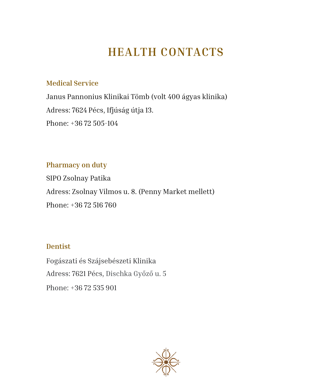# **HEALTH CONTACTS**

# **Medical Service**

Janus Pannonius Klinikai Tömb (volt 400 ágyas klinika) Adress: 7624 Pécs, Ifjúság útja 13. Phone: +36 72 505-104

**Pharmacy on duty**

SIPO Zsolnay Patika Adress: Zsolnay Vilmos u. 8. (Penny Market mellett) Phone: +36 72 516 760

# **Dentist**

Fogászati és Szájsebészeti Klinika Adress: 7621 Pécs, Dischka Győző u. 5 Phone: +36 72 535 901

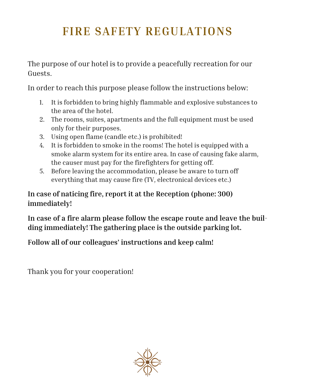# **FIRE SAFETY REGULATIONS**

The purpose of our hotel is to provide a peacefully recreation for our Guests.

In order to reach this purpose please follow the instructions below:

- 1. It is forbidden to bring highly flammable and explosive substances to the area of the hotel.
- 2. The rooms, suites, apartments and the full equipment must be used only for their purposes.
- 3. Using open flame (candle etc.) is prohibited!
- 4. It is forbidden to smoke in the rooms! The hotel is equipped with a smoke alarm system for its entire area. In case of causing fake alarm, the causer must pay for the firefighters for getting off.
- 5. Before leaving the accommodation, please be aware to turn off everything that may cause fire (TV, electronical devices etc.)

**In case of naticing fire, report it at the Reception (phone: 300) immediately!**

**In case of a fire alarm please follow the escape route and leave the building immediately! The gathering place is the outside parking lot.** 

**Follow all of our colleagues' instructions and keep calm!**

Thank you for your cooperation!

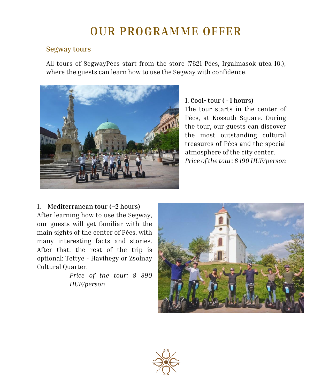# **OUR PROGRAMME OFFER**

#### **Segway tours**

All tours of SegwayPécs start from the store (7621 Pécs, Irgalmasok utca 16.), where the guests can learn how to use the Segway with confidence.



#### **1. Cool- tour ( ~1 hours)**

The tour starts in the center of Pécs, at Kossuth Square. During the tour, our guests can discover the most outstanding cultural treasures of Pécs and the special atmosphere of the city center. *Price of the tour: 6 190 HUF/person*

#### **1. Mediterranean tour (~2 hours)**

After learning how to use the Segway, our guests will get familiar with the main sights of the center of Pécs, with many interesting facts and stories. After that, the rest of the trip is optional: Tettye - Havihegy or Zsolnay Cultural Quarter.

> *Price of the tour: 8 890 HUF/person*



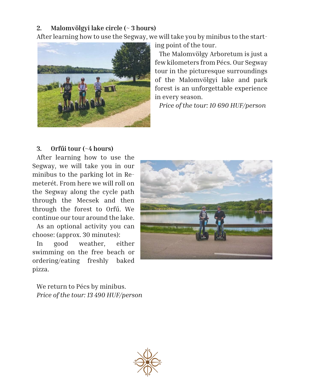#### **2. Malomvölgyi lake circle (~ 3 hours)**

After learning how to use the Segway, we will take you by minibus to the start-



ing point of the tour.

The Malomvölgy Arboretum is just a few kilometers from Pécs. Our Segway tour in the picturesque surroundings of the Malomvölgyi lake and park forest is an unforgettable experience in every season.

*Price of the tour: 10 690 HUF/person*

#### **3. Orfűi tour (~4 hours)**

After learning how to use the Segway, we will take you in our minibus to the parking lot in Remeterét. From here we will roll on the Segway along the cycle path through the Mecsek and then through the forest to Orfű. We continue our tour around the lake.

As an optional activity you can choose: (approx. 30 minutes):

In good weather, either swimming on the free beach or ordering/eating freshly baked pizza.



We return to Pécs by minibus. *Price of the tour: 13 490 HUF/person*

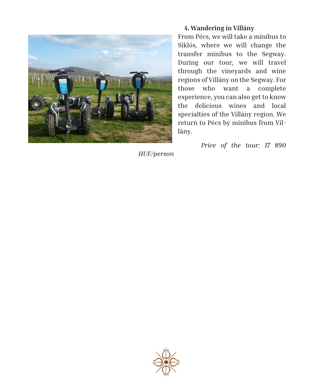

#### **4. Wandering in Villány**

From Pécs, we will take a minibus to Siklós, where we will change the transfer minibus to the Segway. During our tour, we will travel through the vineyards and wine regions of Villány on the Segway. For those who want a complete experience, you can also get to know the delicious wines and local specialties of the Villány region. We return to Pécs by minibus from Villány.

*Price of the tour: 17 890* 

*HUF/person*

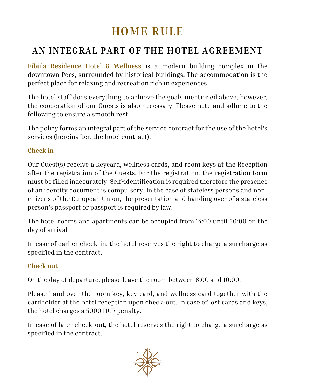# **HOME RULE**

# **AN INTEGRAL PART OF THE HOTEL AGREEMENT**

**Fibula Residence Hotel & Wellness** is a modern building complex in the downtown Pécs, surrounded by historical buildings. The accommodation is the perfect place for relaxing and recreation rich in experiences.

The hotel staff does everything to achieve the goals mentioned above, however, the cooperation of our Guests is also necessary. Please note and adhere to the following to ensure a smooth rest.

The policy forms an integral part of the service contract for the use of the hotel's services (hereinafter: the hotel contract).

#### **Check in**

Our Guest(s) receive a keycard, wellness cards, and room keys at the Reception after the registration of the Guests. For the registration, the registration form must be filled inaccurately. Self-identification is required therefore the presence of an identity document is compulsory. In the case of stateless persons and noncitizens of the European Union, the presentation and handing over of a stateless person's passport or passport is required by law.

The hotel rooms and apartments can be occupied from 14:00 until 20:00 on the day of arrival.

In case of earlier check-in, the hotel reserves the right to charge a surcharge as specified in the contract.

# **Check out**

On the day of departure, please leave the room between 6:00 and 10:00.

Please hand over the room key, key card, and wellness card together with the cardholder at the hotel reception upon check-out. In case of lost cards and keys, the hotel charges a 5000 HUF penalty.

In case of later check-out, the hotel reserves the right to charge a surcharge as specified in the contract.

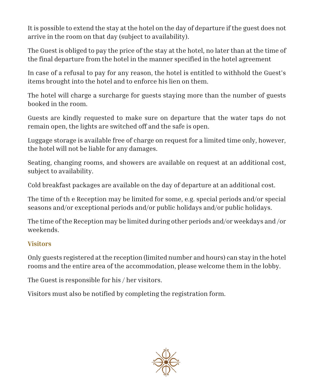It is possible to extend the stay at the hotel on the day of departure if the guest does not arrive in the room on that day (subject to availability).

The Guest is obliged to pay the price of the stay at the hotel, no later than at the time of the final departure from the hotel in the manner specified in the hotel agreement

In case of a refusal to pay for any reason, the hotel is entitled to withhold the Guest's items brought into the hotel and to enforce his lien on them.

The hotel will charge a surcharge for guests staying more than the number of guests booked in the room.

Guests are kindly requested to make sure on departure that the water taps do not remain open, the lights are switched off and the safe is open.

Luggage storage is available free of charge on request for a limited time only, however, the hotel will not be liable for any damages.

Seating, changing rooms, and showers are available on request at an additional cost, subject to availability.

Cold breakfast packages are available on the day of departure at an additional cost.

The time of th e Reception may be limited for some, e.g. special periods and/or special seasons and/or exceptional periods and/or public holidays and/or public holidays.

The time of the Reception may be limited during other periods and/or weekdays and /or weekends.

#### **Visitors**

Only guests registered at the reception (limited number and hours) can stay in the hotel rooms and the entire area of the accommodation, please welcome them in the lobby.

The Guest is responsible for his / her visitors.

Visitors must also be notified by completing the registration form.

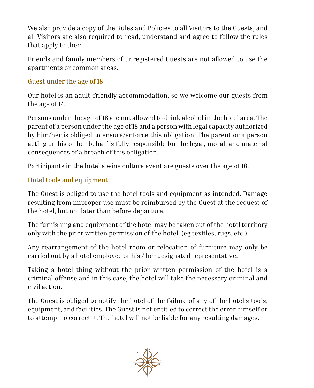We also provide a copy of the Rules and Policies to all Visitors to the Guests, and all Visitors are also required to read, understand and agree to follow the rules that apply to them.

Friends and family members of unregistered Guests are not allowed to use the apartments or common areas.

# **Guest under the age of 18**

Our hotel is an adult-friendly accommodation, so we welcome our guests from the age of 14.

Persons under the age of 18 are not allowed to drink alcohol in the hotel area. The parent of a person under the age of 18 and a person with legal capacity authorized by him/her is obliged to ensure/enforce this obligation. The parent or a person acting on his or her behalf is fully responsible for the legal, moral, and material consequences of a breach of this obligation.

Participants in the hotel's wine culture event are guests over the age of 18.

# **Hotel tools and equipment**

The Guest is obliged to use the hotel tools and equipment as intended. Damage resulting from improper use must be reimbursed by the Guest at the request of the hotel, but not later than before departure.

The furnishing and equipment of the hotel may be taken out of the hotel territory only with the prior written permission of the hotel. (eg textiles, rugs, etc.)

Any rearrangement of the hotel room or relocation of furniture may only be carried out by a hotel employee or his / her designated representative.

Taking a hotel thing without the prior written permission of the hotel is a criminal offense and in this case, the hotel will take the necessary criminal and civil action.

The Guest is obliged to notify the hotel of the failure of any of the hotel's tools, equipment, and facilities. The Guest is not entitled to correct the error himself or to attempt to correct it. The hotel will not be liable for any resulting damages.

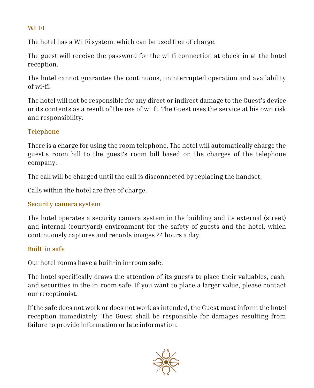#### **WI-FI**

The hotel has a Wi-Fi system, which can be used free of charge.

The guest will receive the password for the wi-fi connection at check-in at the hotel reception.

The hotel cannot guarantee the continuous, uninterrupted operation and availability of wi-fi.

The hotel will not be responsible for any direct or indirect damage to the Guest's device or its contents as a result of the use of wi-fi. The Guest uses the service at his own risk and responsibility.

# **Telephone**

There is a charge for using the room telephone. The hotel will automatically charge the guest's room bill to the guest's room bill based on the charges of the telephone company.

The call will be charged until the call is disconnected by replacing the handset.

Calls within the hotel are free of charge.

#### **Security camera system**

The hotel operates a security camera system in the building and its external (street) and internal (courtyard) environment for the safety of guests and the hotel, which continuously captures and records images 24 hours a day.

#### **Built-in safe**

Our hotel rooms have a built-in in-room safe.

The hotel specifically draws the attention of its guests to place their valuables, cash, and securities in the in-room safe. If you want to place a larger value, please contact our receptionist.

If the safe does not work or does not work as intended, the Guest must inform the hotel reception immediately. The Guest shall be responsible for damages resulting from failure to provide information or late information.

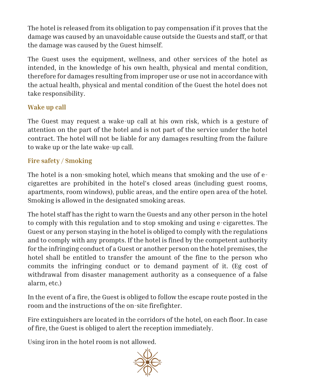The hotel is released from its obligation to pay compensation if it proves that the damage was caused by an unavoidable cause outside the Guests and staff, or that the damage was caused by the Guest himself.

The Guest uses the equipment, wellness, and other services of the hotel as intended, in the knowledge of his own health, physical and mental condition, therefore for damages resulting from improper use or use not in accordance with the actual health, physical and mental condition of the Guest the hotel does not take responsibility.

# **Wake up call**

The Guest may request a wake-up call at his own risk, which is a gesture of attention on the part of the hotel and is not part of the service under the hotel contract. The hotel will not be liable for any damages resulting from the failure to wake up or the late wake-up call.

# **Fire safety / Smoking**

The hotel is a non-smoking hotel, which means that smoking and the use of ecigarettes are prohibited in the hotel's closed areas (including guest rooms, apartments, room windows), public areas, and the entire open area of the hotel. Smoking is allowed in the designated smoking areas.

The hotel staff has the right to warn the Guests and any other person in the hotel to comply with this regulation and to stop smoking and using e-cigarettes. The Guest or any person staying in the hotel is obliged to comply with the regulations and to comply with any prompts. If the hotel is fined by the competent authority for the infringing conduct of a Guest or another person on the hotel premises, the hotel shall be entitled to transfer the amount of the fine to the person who commits the infringing conduct or to demand payment of it. (Eg cost of withdrawal from disaster management authority as a consequence of a false alarm, etc.)

In the event of a fire, the Guest is obliged to follow the escape route posted in the room and the instructions of the on-site firefighter.

Fire extinguishers are located in the corridors of the hotel, on each floor. In case of fire, the Guest is obliged to alert the reception immediately.

Using iron in the hotel room is not allowed.

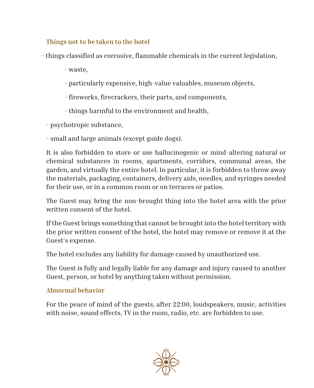# **Things not to be taken to the hotel**

- things classified as corrosive, flammable chemicals in the current legislation,

- waste,
- particularly expensive, high-value valuables, museum objects,
- fireworks, firecrackers, their parts, and components,
- things harmful to the environment and health,

- psychotropic substance,

- small and large animals (except guide dogs).

It is also forbidden to store or use hallucinogenic or mind-altering natural or chemical substances in rooms, apartments, corridors, communal areas, the garden, and virtually the entire hotel. In particular, it is forbidden to throw away the materials, packaging, containers, delivery aids, needles, and syringes needed for their use, or in a common room or on terraces or patios.

The Guest may bring the non-brought thing into the hotel area with the prior written consent of the hotel.

If the Guest brings something that cannot be brought into the hotel territory with the prior written consent of the hotel, the hotel may remove or remove it at the Guest's expense.

The hotel excludes any liability for damage caused by unauthorized use.

The Guest is fully and legally liable for any damage and injury caused to another Guest, person, or hotel by anything taken without permission.

#### **Abnormal behavior**

For the peace of mind of the guests, after 22:00, loudspeakers, music, activities with noise, sound effects, TV in the room, radio, etc. are forbidden to use.

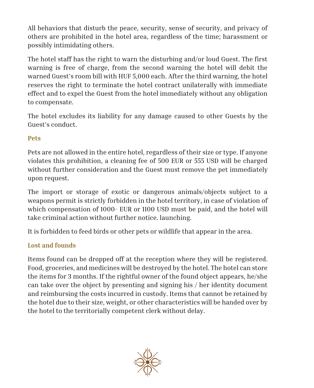All behaviors that disturb the peace, security, sense of security, and privacy of others are prohibited in the hotel area, regardless of the time; harassment or possibly intimidating others.

The hotel staff has the right to warn the disturbing and/or loud Guest. The first warning is free of charge, from the second warning the hotel will debit the warned Guest's room bill with HUF 5,000 each. After the third warning, the hotel reserves the right to terminate the hotel contract unilaterally with immediate effect and to expel the Guest from the hotel immediately without any obligation to compensate.

The hotel excludes its liability for any damage caused to other Guests by the Guest's conduct.

#### **Pets**

Pets are not allowed in the entire hotel, regardless of their size or type. If anyone violates this prohibition, a cleaning fee of 500 EUR or 555 USD will be charged without further consideration and the Guest must remove the pet immediately upon request.

The import or storage of exotic or dangerous animals/objects subject to a weapons permit is strictly forbidden in the hotel territory, in case of violation of which compensation of 1000- EUR or 1100 USD must be paid, and the hotel will take criminal action without further notice. launching.

It is forbidden to feed birds or other pets or wildlife that appear in the area.

#### **Lost and founds**

Items found can be dropped off at the reception where they will be registered. Food, groceries, and medicines will be destroyed by the hotel. The hotel can store the items for 3 months. If the rightful owner of the found object appears, he/she can take over the object by presenting and signing his / her identity document and reimbursing the costs incurred in custody. Items that cannot be retained by the hotel due to their size, weight, or other characteristics will be handed over by the hotel to the territorially competent clerk without delay.

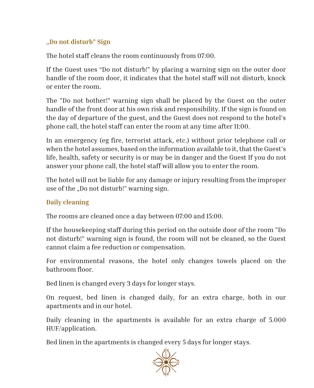# **,,Do not disturb" Sign**

The hotel staff cleans the room continuously from 07:00.

If the Guest uses "Do not disturb!" by placing a warning sign on the outer door handle of the room door, it indicates that the hotel staff will not disturb, knock or enter the room.

The "Do not bother!" warning sign shall be placed by the Guest on the outer handle of the front door at his own risk and responsibility. If the sign is found on the day of departure of the guest, and the Guest does not respond to the hotel's phone call, the hotel staff can enter the room at any time after 11:00.

In an emergency (eg fire, terrorist attack, etc.) without prior telephone call or when the hotel assumes, based on the information available to it, that the Guest's life, health, safety or security is or may be in danger and the Guest If you do not answer your phone call, the hotel staff will allow you to enter the room.

The hotel will not be liable for any damage or injury resulting from the improper use of the ..Do not disturb!" warning sign.

# **Daily cleaning**

The rooms are cleaned once a day between 07:00 and 15:00.

If the housekeeping staff during this period on the outside door of the room "Do not disturb!" warning sign is found, the room will not be cleaned, so the Guest cannot claim a fee reduction or compensation.

For environmental reasons, the hotel only changes towels placed on the bathroom floor.

Bed linen is changed every 3 days for longer stays.

On request, bed linen is changed daily, for an extra charge, both in our apartments and in our hotel.

Daily cleaning in the apartments is available for an extra charge of 5.000 HUF/application.

Bed linen in the apartments is changed every 5 days for longer stays.

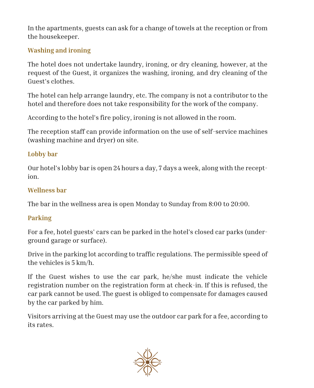In the apartments, guests can ask for a change of towels at the reception or from the housekeeper.

# **Washing and ironing**

The hotel does not undertake laundry, ironing, or dry cleaning, however, at the request of the Guest, it organizes the washing, ironing, and dry cleaning of the Guest's clothes.

The hotel can help arrange laundry, etc. The company is not a contributor to the hotel and therefore does not take responsibility for the work of the company.

According to the hotel's fire policy, ironing is not allowed in the room.

The reception staff can provide information on the use of self-service machines (washing machine and dryer) on site.

# **Lobby bar**

Our hotel's lobby bar is open 24 hours a day, 7 days a week, along with the reception.

# **Wellness bar**

The bar in the wellness area is open Monday to Sunday from 8:00 to 20:00.

# **Parking**

For a fee, hotel guests' cars can be parked in the hotel's closed car parks (underground garage or surface).

Drive in the parking lot according to traffic regulations. The permissible speed of the vehicles is 5 km/h.

If the Guest wishes to use the car park, he/she must indicate the vehicle registration number on the registration form at check-in. If this is refused, the car park cannot be used. The guest is obliged to compensate for damages caused by the car parked by him.

Visitors arriving at the Guest may use the outdoor car park for a fee, according to its rates.

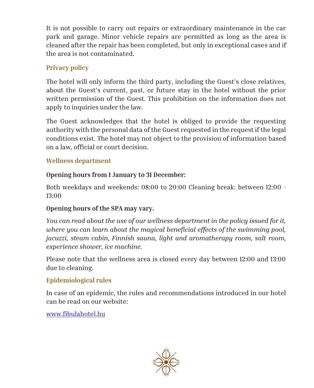It is not possible to carry out repairs or extraordinary maintenance in the car park and garage. Minor vehicle repairs are permitted as long as the area is cleaned after the repair has been completed, but only in exceptional cases and if the area is not contaminated.

# **Privacy policy**

The hotel will only inform the third party, including the Guest's close relatives, about the Guest's current, past, or future stay in the hotel without the prior written permission of the Guest. This prohibition on the information does not apply to inquiries under the law.

The Guest acknowledges that the hotel is obliged to provide the requesting authority with the personal data of the Guest requested in the request if the legal conditions exist. The hotel may not object to the provision of information based on a law, official or court decision.

#### **Wellness department**

#### **Opening hours from 1 January to 31 December:**

Both weekdays and weekends: 08:00 to 20:00 Cleaning break: between 12:00 - 13:00

#### **Opening hours of the SPA may vary.**

*You can read about the use of our wellness department in the policy issued for it, where you can learn about the magical beneficial effects of the swimming pool, jacuzzi, steam cabin, Finnish sauna, light and aromatherapy room, salt room, experience shower, ice machine.*

Please note that the wellness area is closed every day between 12:00 and 13:00 due to cleaning.

# **Epidemiological rules**

In case of an epidemic, the rules and recommendations introduced in our hotel can be read on our website:

[www.fibulahotel.hu](http://www.fibulahotel.hu/)

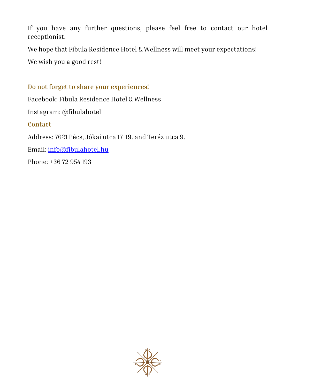If you have any further questions, please feel free to contact our hotel receptionist.

We hope that Fibula Residence Hotel & Wellness will meet your expectations!

We wish you a good rest!

# **Do not forget to share your experiences!**

Facebook: Fibula Residence Hotel & Wellness Instagram: @fibulahotel **Contact** Address: 7621 Pécs, Jókai utca 17-19. and Teréz utca 9. Email[: info@fibulahotel.hu](mailto:info@fibulahotel.hu) Phone: +36 72 954 193

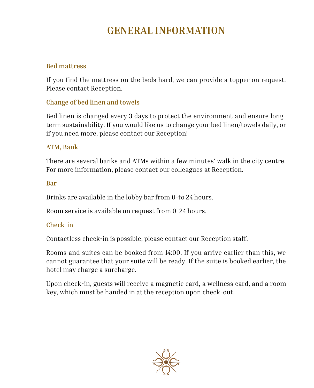# **GENERAL INFORMATION**

#### **Bed mattress**

If you find the mattress on the beds hard, we can provide a topper on request. Please contact Reception.

#### **Change of bed linen and towels**

Bed linen is changed every 3 days to protect the environment and ensure longterm sustainability. If you would like us to change your bed linen/towels daily, or if you need more, please contact our Reception!

#### **ATM, Bank**

There are several banks and ATMs within a few minutes' walk in the city centre. For more information, please contact our colleagues at Reception.

#### **Bar**

Drinks are available in the lobby bar from 0-to 24 hours.

Room service is available on request from 0-24 hours.

#### **Check-in**

Contactless check-in is possible, please contact our Reception staff.

Rooms and suites can be booked from 14:00. If you arrive earlier than this, we cannot guarantee that your suite will be ready. If the suite is booked earlier, the hotel may charge a surcharge.

Upon check-in, guests will receive a magnetic card, a wellness card, and a room key, which must be handed in at the reception upon check-out.

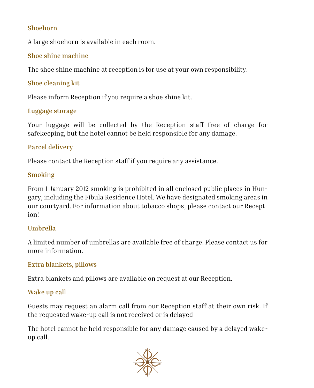#### **Shoehorn**

A large shoehorn is available in each room.

#### **Shoe shine machine**

The shoe shine machine at reception is for use at your own responsibility.

#### **Shoe cleaning kit**

Please inform Reception if you require a shoe shine kit.

#### **Luggage storage**

Your luggage will be collected by the Reception staff free of charge for safekeeping, but the hotel cannot be held responsible for any damage.

# **Parcel delivery**

Please contact the Reception staff if you require any assistance.

#### **Smoking**

From 1 January 2012 smoking is prohibited in all enclosed public places in Hungary, including the Fibula Residence Hotel. We have designated smoking areas in our courtyard. For information about tobacco shops, please contact our Reception!

# **Umbrella**

A limited number of umbrellas are available free of charge. Please contact us for more information.

# **Extra blankets, pillows**

Extra blankets and pillows are available on request at our Reception.

# **Wake up call**

Guests may request an alarm call from our Reception staff at their own risk. If the requested wake-up call is not received or is delayed

The hotel cannot be held responsible for any damage caused by a delayed wakeup call.

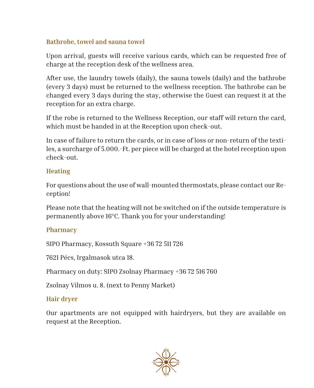# **Bathrobe, towel and sauna towel**

Upon arrival, guests will receive various cards, which can be requested free of charge at the reception desk of the wellness area.

After use, the laundry towels (daily), the sauna towels (daily) and the bathrobe (every 3 days) must be returned to the wellness reception. The bathrobe can be changed every 3 days during the stay, otherwise the Guest can request it at the reception for an extra charge.

If the robe is returned to the Wellness Reception, our staff will return the card, which must be handed in at the Reception upon check-out.

In case of failure to return the cards, or in case of loss or non-return of the textiles, a surcharge of 5.000.-Ft. per piece will be charged at the hotel reception upon check-out.

#### **Heating**

For questions about the use of wall-mounted thermostats, please contact our Reception!

Please note that the heating will not be switched on if the outside temperature is permanently above 16°C. Thank you for your understanding!

#### **Pharmacy**

SIPO Pharmacy, Kossuth Square +36 72 511 726

7621 Pécs, Irgalmasok utca 18.

Pharmacy on duty: SIPO Zsolnay Pharmacy +36 72 516 760

Zsolnay Vilmos u. 8. (next to Penny Market)

# **Hair dryer**

Our apartments are not equipped with hairdryers, but they are available on request at the Reception.

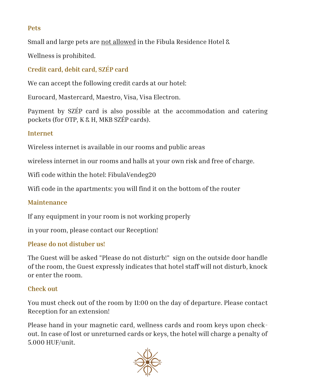#### **Pets**

Small and large pets are not allowed in the Fibula Residence Hotel &

Wellness is prohibited.

# **Credit card, debit card, SZÉP card**

We can accept the following credit cards at our hotel:

Eurocard, Mastercard, Maestro, Visa, Visa Electron.

Payment by SZÉP card is also possible at the accommodation and catering pockets (for OTP, K & H, MKB SZÉP cards).

# **Internet**

Wireless internet is available in our rooms and public areas

wireless internet in our rooms and halls at your own risk and free of charge.

Wifi code within the hotel: FibulaVendeg20

Wifi code in the apartments: you will find it on the bottom of the router

# **Maintenance**

If any equipment in your room is not working properly

in your room, please contact our Reception!

#### **Please do not distuber us!**

The Guest will be asked "Please do not disturb!" sign on the outside door handle of the room, the Guest expressly indicates that hotel staff will not disturb, knock or enter the room.

# **Check out**

You must check out of the room by 11:00 on the day of departure. Please contact Reception for an extension!

Please hand in your magnetic card, wellness cards and room keys upon checkout. In case of lost or unreturned cards or keys, the hotel will charge a penalty of 5.000 HUF/unit.

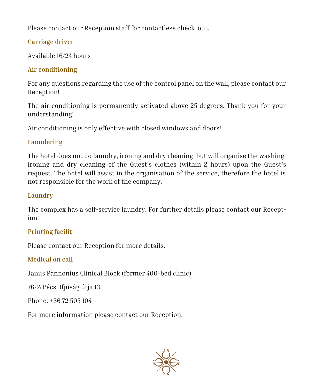Please contact our Reception staff for contactless check-out.

# **Carriage driver**

Available 16/24 hours

# **Air conditioning**

For any questions regarding the use of the control panel on the wall, please contact our Reception!

The air conditioning is permanently activated above 25 degrees. Thank you for your understanding!

Air conditioning is only effective with closed windows and doors!

# **Laundering**

The hotel does not do laundry, ironing and dry cleaning, but will organise the washing, ironing and dry cleaning of the Guest's clothes (within 2 hours) upon the Guest's request. The hotel will assist in the organisation of the service, therefore the hotel is not responsible for the work of the company.

# **Laundry**

The complex has a self-service laundry. For further details please contact our Reception!

# **Printing facilit**

Please contact our Reception for more details.

# **Medical on call**

Janus Pannonius Clinical Block (former 400-bed clinic)

7624 Pécs, Ifjúság útja 13.

Phone: +36 72 505 104

For more information please contact our Reception!

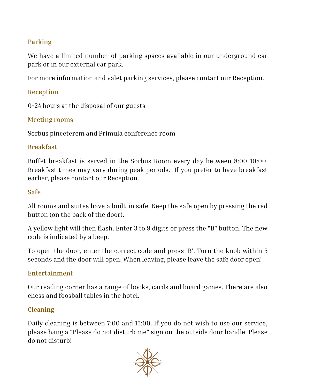# **Parking**

We have a limited number of parking spaces available in our underground car park or in our external car park.

For more information and valet parking services, please contact our Reception.

#### **Reception**

0-24 hours at the disposal of our guests

# **Meeting rooms**

Sorbus pinceterem and Primula conference room

# **Breakfast**

Buffet breakfast is served in the Sorbus Room every day between 8:00-10:00. Breakfast times may vary during peak periods. If you prefer to have breakfast earlier, please contact our Reception.

# **Safe**

All rooms and suites have a built-in safe. Keep the safe open by pressing the red button (on the back of the door).

A yellow light will then flash. Enter 3 to 8 digits or press the "B" button. The new code is indicated by a beep.

To open the door, enter the correct code and press 'B'. Turn the knob within 5 seconds and the door will open. When leaving, please leave the safe door open!

# **Entertainment**

Our reading corner has a range of books, cards and board games. There are also chess and foosball tables in the hotel.

# **Cleaning**

Daily cleaning is between 7:00 and 15:00. If you do not wish to use our service, please hang a "Please do not disturb me" sign on the outside door handle. Please do not disturb!